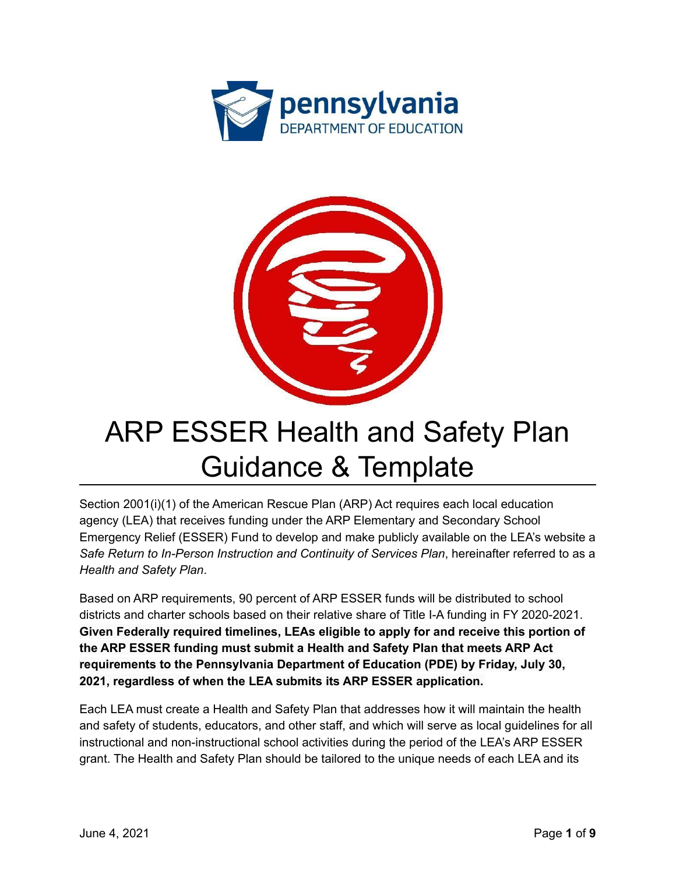



# ARP ESSER Health and Safety Plan Guidance & Template

Section 2001(i)(1) of the American Rescue Plan (ARP) Act requires each local education agency (LEA) that receives funding under the ARP Elementary and Secondary School Emergency Relief (ESSER) Fund to develop and make publicly available on the LEA's website a *Safe Return to In-Person Instruction and Continuity of Services Plan*, hereinafter referred to as a *Health and Safety Plan*.

Based on ARP requirements, 90 percent of ARP ESSER funds will be distributed to school districts and charter schools based on their relative share of Title I-A funding in FY 2020-2021. **Given Federally required timelines, LEAs eligible to apply for and receive this portion of the ARP ESSER funding must submit a Health and Safety Plan that meets ARP Act requirements to the Pennsylvania Department of Education (PDE) by Friday, July 30, 2021, regardless of when the LEA submits its ARP ESSER application.**

Each LEA must create a Health and Safety Plan that addresses how it will maintain the health and safety of students, educators, and other staff, and which will serve as local guidelines for all instructional and non-instructional school activities during the period of the LEA's ARP ESSER grant. The Health and Safety Plan should be tailored to the unique needs of each LEA and its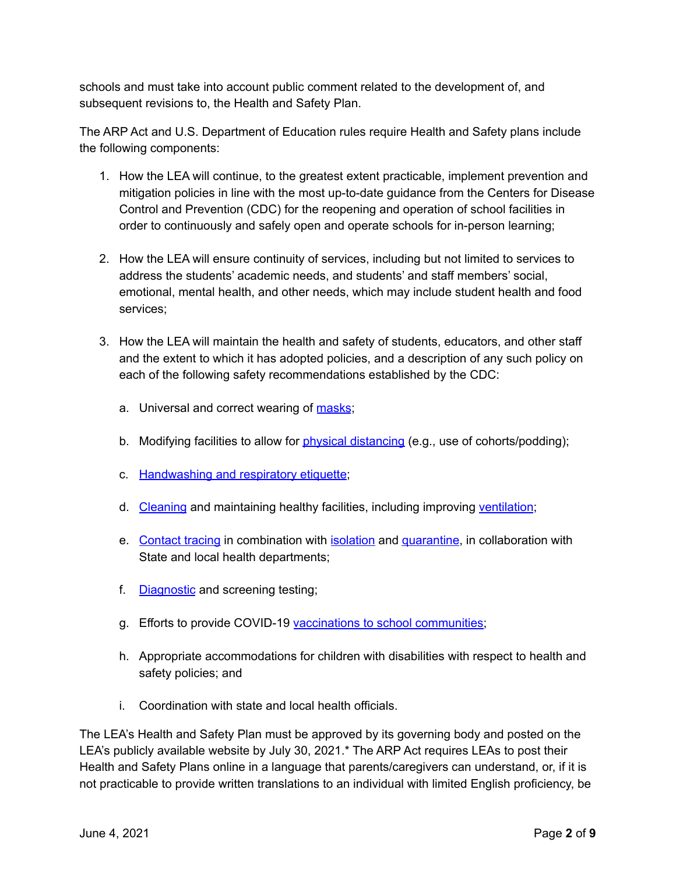schools and must take into account public comment related to the development of, and subsequent revisions to, the Health and Safety Plan.

The ARP Act and U.S. Department of Education rules require Health and Safety plans include the following components:

- 1. How the LEA will continue, to the greatest extent practicable, implement prevention and mitigation policies in line with the most up-to-date guidance from the Centers for Disease Control and Prevention (CDC) for the reopening and operation of school facilities in order to continuously and safely open and operate schools for in-person learning;
- 2. How the LEA will ensure continuity of services, including but not limited to services to address the students' academic needs, and students' and staff members' social, emotional, mental health, and other needs, which may include student health and food services;
- 3. How the LEA will maintain the health and safety of students, educators, and other staff and the extent to which it has adopted policies, and a description of any such policy on each of the following safety recommendations established by the CDC:
	- a. Universal and correct wearing of [masks](https://www.cdc.gov/coronavirus/2019-ncov/prevent-getting-sick/cloth-face-cover-guidance.html?CDC_AA_refVal=https%3A%2F%2Fwww.cdc.gov%2Fcoronavirus%2F2019-ncov%2Fcommunity%2Fschools-childcare%2Fcloth-face-cover.html);
	- b. Modifying facilities to allow for *physical [distancing](https://www.cdc.gov/coronavirus/2019-ncov/prevent-getting-sick/social-distancing.html)* (e.g., use of cohorts/podding);
	- c. [Handwashing](https://www.cdc.gov/handwashing/when-how-handwashing.html) and respiratory etiquette;
	- d. [Cleaning](https://www.cdc.gov/coronavirus/2019-ncov/community/clean-disinfect/index.html) and maintaining healthy facilities, including improving [ventilation](https://www.cdc.gov/coronavirus/2019-ncov/community/schools-childcare/ventilation.html);
	- e. [Contact](https://www.cdc.gov/coronavirus/2019-ncov/php/contact-tracing/contact-tracing-resources.html?CDC_AA_refVal=https%3A%2F%2Fwww.cdc.gov%2Fcoronavirus%2F2019-ncov%2Fphp%2Fopen-america%2Fcontact-tracing-resources.html) tracing in combination with [isolation](https://www.cdc.gov/coronavirus/2019-ncov/if-you-are-sick/isolation.html) and [quarantine](https://www.cdc.gov/coronavirus/2019-ncov/if-you-are-sick/quarantine.html), in collaboration with State and local health departments;
	- f. [Diagnostic](https://www.cdc.gov/coronavirus/2019-ncov/lab/pooling-procedures.html) and screening testing;
	- g. Efforts to provide COVID-19 vaccinations to school [communities;](https://www.cdc.gov/coronavirus/2019-ncov/vaccines/toolkits/schools-childcare.html)
	- h. Appropriate accommodations for children with disabilities with respect to health and safety policies; and
	- i. Coordination with state and local health officials.

The LEA's Health and Safety Plan must be approved by its governing body and posted on the LEA's publicly available website by July 30, 2021.\* The ARP Act requires LEAs to post their Health and Safety Plans online in a language that parents/caregivers can understand, or, if it is not practicable to provide written translations to an individual with limited English proficiency, be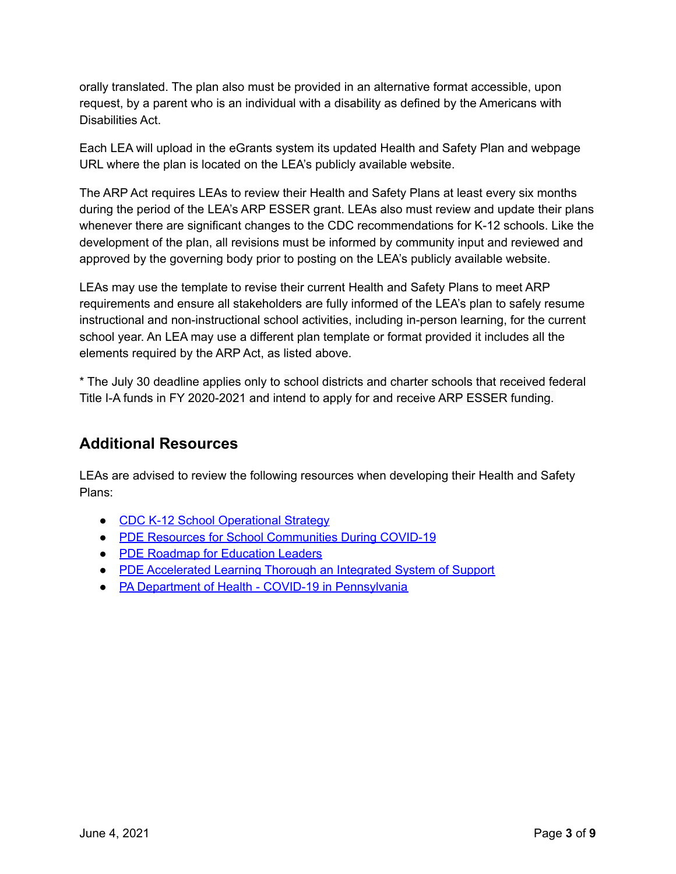orally translated. The plan also must be provided in an alternative format accessible, upon request, by a parent who is an individual with a disability as defined by the Americans with Disabilities Act.

Each LEA will upload in the eGrants system its updated Health and Safety Plan and webpage URL where the plan is located on the LEA's publicly available website.

The ARP Act requires LEAs to review their Health and Safety Plans at least every six months during the period of the LEA's ARP ESSER grant. LEAs also must review and update their plans whenever there are significant changes to the CDC recommendations for K-12 schools. Like the development of the plan, all revisions must be informed by community input and reviewed and approved by the governing body prior to posting on the LEA's publicly available website.

LEAs may use the template to revise their current Health and Safety Plans to meet ARP requirements and ensure all stakeholders are fully informed of the LEA's plan to safely resume instructional and non-instructional school activities, including in-person learning, for the current school year. An LEA may use a different plan template or format provided it includes all the elements required by the ARP Act, as listed above.

\* The July 30 deadline applies only to school districts and charter schools that received federal Title I-A funds in FY 2020-2021 and intend to apply for and receive ARP ESSER funding.

### **Additional Resources**

LEAs are advised to review the following resources when developing their Health and Safety Plans:

- CDC K-12 School [Operational](https://www.cdc.gov/coronavirus/2019-ncov/community/schools-childcare/operation-strategy.html?CDC_AA_refVal=https%3A%2F%2Fwww.cdc.gov%2Fcoronavirus%2F2019-ncov%2Fcommunity%2Fschools-childcare%2Fschools.html) Strategy
- PDE Resources for School [Communities](https://www.education.pa.gov/Schools/safeschools/emergencyplanning/COVID-19/Pages/default.aspx) During COVID-19
- PDE Roadmap for [Education](https://www.education.pa.gov/Schools/safeschools/emergencyplanning/COVID-19/SchoolReopeningGuidance/ReopeningPreKto12/CreatingEquitableSchoolSystems/Pages/default.aspx) Leaders
- PDE [Accelerated](https://www.education.pa.gov/Schools/safeschools/emergencyplanning/COVID-19/SchoolReopeningGuidance/ReopeningPreKto12/CreatingEquitableSchoolSystems/AcceleratedLearning/Pages/default.aspx) Learning Thorough an Integrated System of Support
- PA Department of Health COVID-19 in [Pennsylvania](https://www.health.pa.gov/topics/disease/coronavirus/Pages/Coronavirus.aspx)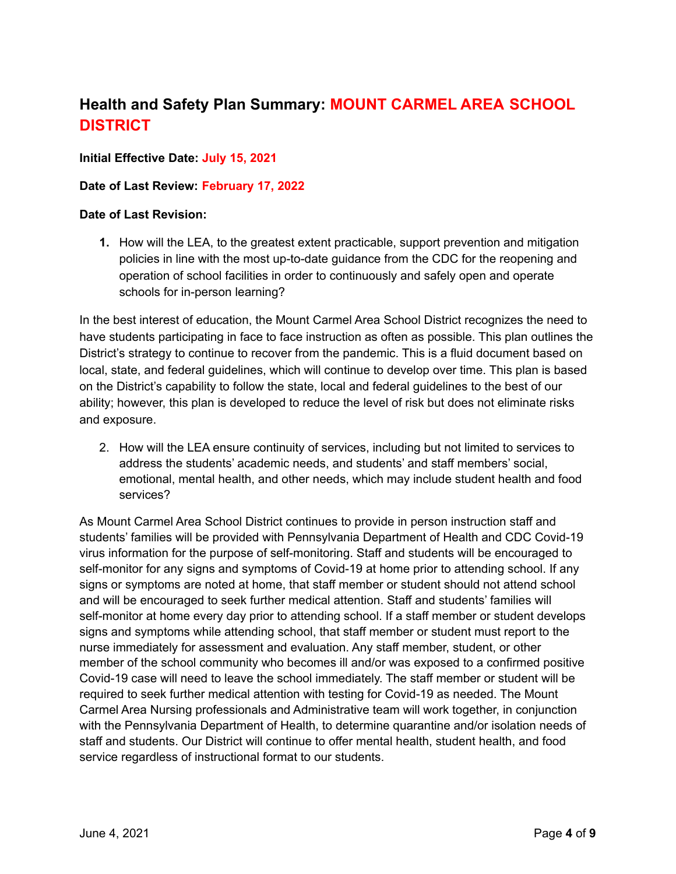# **Health and Safety Plan Summary: MOUNT CARMEL AREA SCHOOL DISTRICT**

#### **Initial Effective Date: July 15, 2021**

#### **Date of Last Review: February 17, 2022**

#### **Date of Last Revision:**

**1.** How will the LEA, to the greatest extent practicable, support prevention and mitigation policies in line with the most up-to-date guidance from the CDC for the reopening and operation of school facilities in order to continuously and safely open and operate schools for in-person learning?

In the best interest of education, the Mount Carmel Area School District recognizes the need to have students participating in face to face instruction as often as possible. This plan outlines the District's strategy to continue to recover from the pandemic. This is a fluid document based on local, state, and federal guidelines, which will continue to develop over time. This plan is based on the District's capability to follow the state, local and federal guidelines to the best of our ability; however, this plan is developed to reduce the level of risk but does not eliminate risks and exposure.

2. How will the LEA ensure continuity of services, including but not limited to services to address the students' academic needs, and students' and staff members' social, emotional, mental health, and other needs, which may include student health and food services?

As Mount Carmel Area School District continues to provide in person instruction staff and students' families will be provided with Pennsylvania Department of Health and CDC Covid-19 virus information for the purpose of self-monitoring. Staff and students will be encouraged to self-monitor for any signs and symptoms of Covid-19 at home prior to attending school. If any signs or symptoms are noted at home, that staff member or student should not attend school and will be encouraged to seek further medical attention. Staff and students' families will self-monitor at home every day prior to attending school. If a staff member or student develops signs and symptoms while attending school, that staff member or student must report to the nurse immediately for assessment and evaluation. Any staff member, student, or other member of the school community who becomes ill and/or was exposed to a confirmed positive Covid-19 case will need to leave the school immediately. The staff member or student will be required to seek further medical attention with testing for Covid-19 as needed. The Mount Carmel Area Nursing professionals and Administrative team will work together, in conjunction with the Pennsylvania Department of Health, to determine quarantine and/or isolation needs of staff and students. Our District will continue to offer mental health, student health, and food service regardless of instructional format to our students.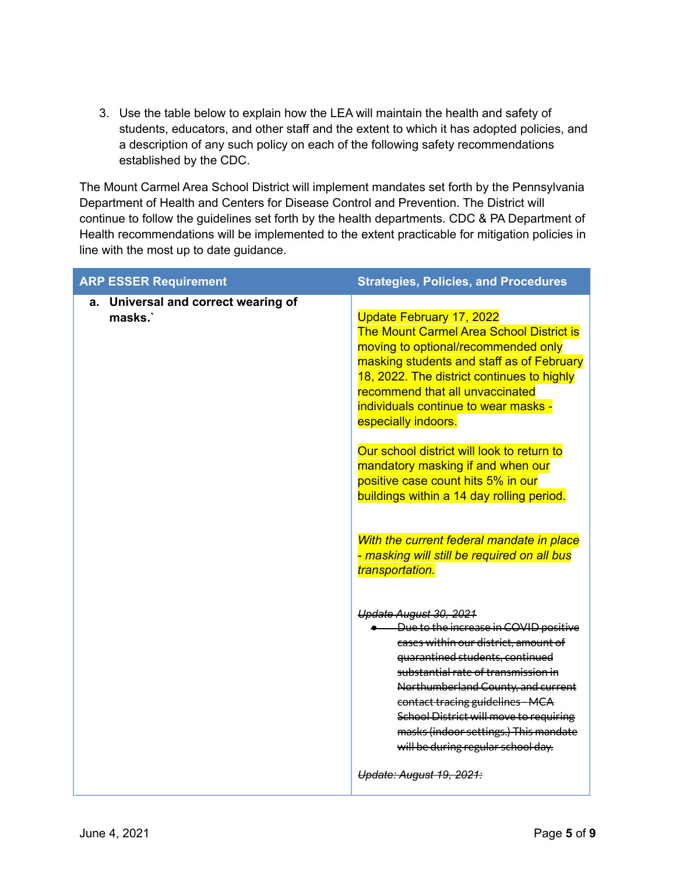3. Use the table below to explain how the LEA will maintain the health and safety of students, educators, and other staff and the extent to which it has adopted policies, and a description of any such policy on each of the following safety recommendations established by the CDC.

The Mount Carmel Area School District will implement mandates set forth by the Pennsylvania Department of Health and Centers for Disease Control and Prevention. The District will continue to follow the guidelines set forth by the health departments. CDC & PA Department of Health recommendations will be implemented to the extent practicable for mitigation policies in line with the most up to date guidance.

| <b>ARP ESSER Requirement</b>                  | <b>Strategies, Policies, and Procedures</b>                                                                                                                                                                                                                                                                                                                                            |
|-----------------------------------------------|----------------------------------------------------------------------------------------------------------------------------------------------------------------------------------------------------------------------------------------------------------------------------------------------------------------------------------------------------------------------------------------|
| a. Universal and correct wearing of<br>masks. | <b>Update February 17, 2022</b><br><b>The Mount Carmel Area School District is</b><br>moving to optional/recommended only<br>masking students and staff as of February<br>18, 2022. The district continues to highly<br>recommend that all unvaccinated<br>individuals continue to wear masks -<br>especially indoors.                                                                 |
|                                               | Our school district will look to return to<br>mandatory masking if and when our<br>positive case count hits 5% in our<br>buildings within a 14 day rolling period.                                                                                                                                                                                                                     |
|                                               | With the current federal mandate in place<br>- masking will still be required on all bus<br>transportation.                                                                                                                                                                                                                                                                            |
|                                               | Update August 30, 2021<br>• Due to the increase in COVID positive<br>cases within our district, amount of<br>quarantined students, continued<br>substantial rate of transmission in<br>Northumberland County, and current<br>contact tracing guidelines - MCA<br>School District will move to requiring<br>masks (indoor settings.) This mandate<br>will be during regular school day. |
|                                               | Update: August 19, 2021:                                                                                                                                                                                                                                                                                                                                                               |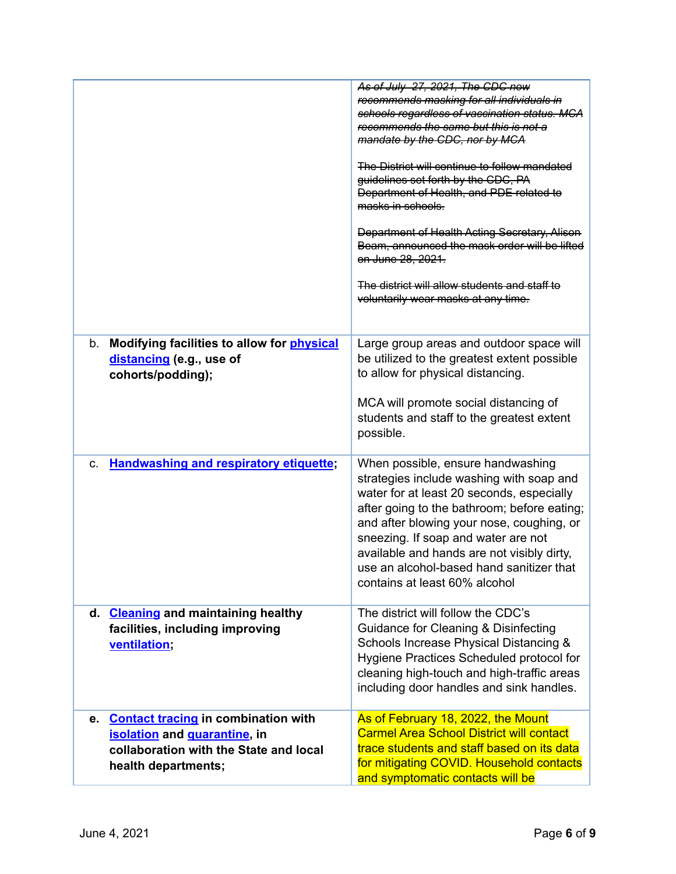|                                                                                                                                         | As of July 27, 2021, The CDC now<br>recommends masking for all individuals in<br>schools regardless of vaccination status. MCA<br>recommends the same but this is not a<br>mandate by the CDC, nor by MCA<br>The District will continue to follow mandated<br>guidelines set forth by the CDC, PA<br>Department of Health, and PDE related to<br>masks in schools.<br><b>Department of Health Acting Secretary, Alison</b><br>Beam, announced the mask order will be lifted<br>on June 28, 2021.<br>The district will allow students and staff to<br>voluntarily wear masks at any time. |
|-----------------------------------------------------------------------------------------------------------------------------------------|------------------------------------------------------------------------------------------------------------------------------------------------------------------------------------------------------------------------------------------------------------------------------------------------------------------------------------------------------------------------------------------------------------------------------------------------------------------------------------------------------------------------------------------------------------------------------------------|
| b. Modifying facilities to allow for physical<br>distancing (e.g., use of<br>cohorts/podding);                                          | Large group areas and outdoor space will<br>be utilized to the greatest extent possible<br>to allow for physical distancing.<br>MCA will promote social distancing of<br>students and staff to the greatest extent<br>possible.                                                                                                                                                                                                                                                                                                                                                          |
| <b>Handwashing and respiratory etiquette;</b><br>C.                                                                                     | When possible, ensure handwashing<br>strategies include washing with soap and<br>water for at least 20 seconds, especially<br>after going to the bathroom; before eating;<br>and after blowing your nose, coughing, or<br>sneezing. If soap and water are not<br>available and hands are not visibly dirty,<br>use an alcohol-based hand sanitizer that<br>contains at least 60% alcohol                                                                                                                                                                                                 |
| d. Cleaning and maintaining healthy<br>facilities, including improving<br>ventilation;                                                  | The district will follow the CDC's<br>Guidance for Cleaning & Disinfecting<br>Schools Increase Physical Distancing &<br>Hygiene Practices Scheduled protocol for<br>cleaning high-touch and high-traffic areas<br>including door handles and sink handles.                                                                                                                                                                                                                                                                                                                               |
| e. Contact tracing in combination with<br>isolation and quarantine, in<br>collaboration with the State and local<br>health departments; | As of February 18, 2022, the Mount<br><b>Carmel Area School District will contact</b><br>trace students and staff based on its data<br>for mitigating COVID. Household contacts<br>and symptomatic contacts will be                                                                                                                                                                                                                                                                                                                                                                      |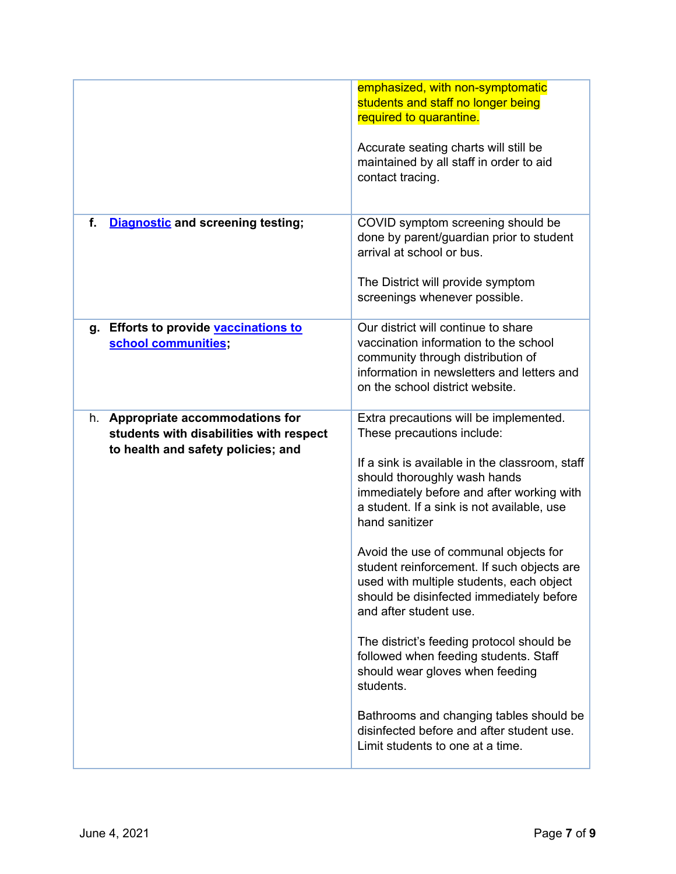| emphasized, with non-symptomatic<br>students and staff no longer being<br>required to quarantine.<br>Accurate seating charts will still be<br>maintained by all staff in order to aid<br>contact tracing.                                                                                                                                                                                                                                                                                                                                                                                                                                                                                                                                      |
|------------------------------------------------------------------------------------------------------------------------------------------------------------------------------------------------------------------------------------------------------------------------------------------------------------------------------------------------------------------------------------------------------------------------------------------------------------------------------------------------------------------------------------------------------------------------------------------------------------------------------------------------------------------------------------------------------------------------------------------------|
| COVID symptom screening should be<br>done by parent/guardian prior to student<br>arrival at school or bus.<br>The District will provide symptom<br>screenings whenever possible.                                                                                                                                                                                                                                                                                                                                                                                                                                                                                                                                                               |
| Our district will continue to share<br>vaccination information to the school<br>community through distribution of<br>information in newsletters and letters and<br>on the school district website.                                                                                                                                                                                                                                                                                                                                                                                                                                                                                                                                             |
| Extra precautions will be implemented.<br>These precautions include:<br>If a sink is available in the classroom, staff<br>should thoroughly wash hands<br>immediately before and after working with<br>a student. If a sink is not available, use<br>hand sanitizer<br>Avoid the use of communal objects for<br>student reinforcement. If such objects are<br>used with multiple students, each object<br>should be disinfected immediately before<br>and after student use.<br>The district's feeding protocol should be<br>followed when feeding students. Staff<br>should wear gloves when feeding<br>students.<br>Bathrooms and changing tables should be<br>disinfected before and after student use.<br>Limit students to one at a time. |
|                                                                                                                                                                                                                                                                                                                                                                                                                                                                                                                                                                                                                                                                                                                                                |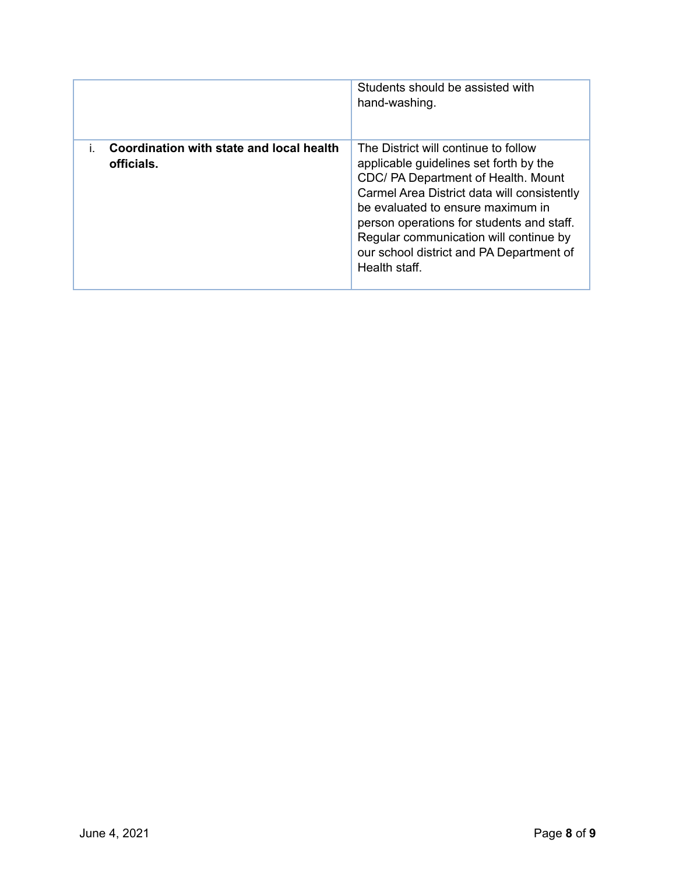|                                                        | Students should be assisted with<br>hand-washing.                                                                                                                                                                                                                                                                                                             |
|--------------------------------------------------------|---------------------------------------------------------------------------------------------------------------------------------------------------------------------------------------------------------------------------------------------------------------------------------------------------------------------------------------------------------------|
| Coordination with state and local health<br>officials. | The District will continue to follow<br>applicable guidelines set forth by the<br>CDC/ PA Department of Health. Mount<br>Carmel Area District data will consistently<br>be evaluated to ensure maximum in<br>person operations for students and staff.<br>Regular communication will continue by<br>our school district and PA Department of<br>Health staff. |